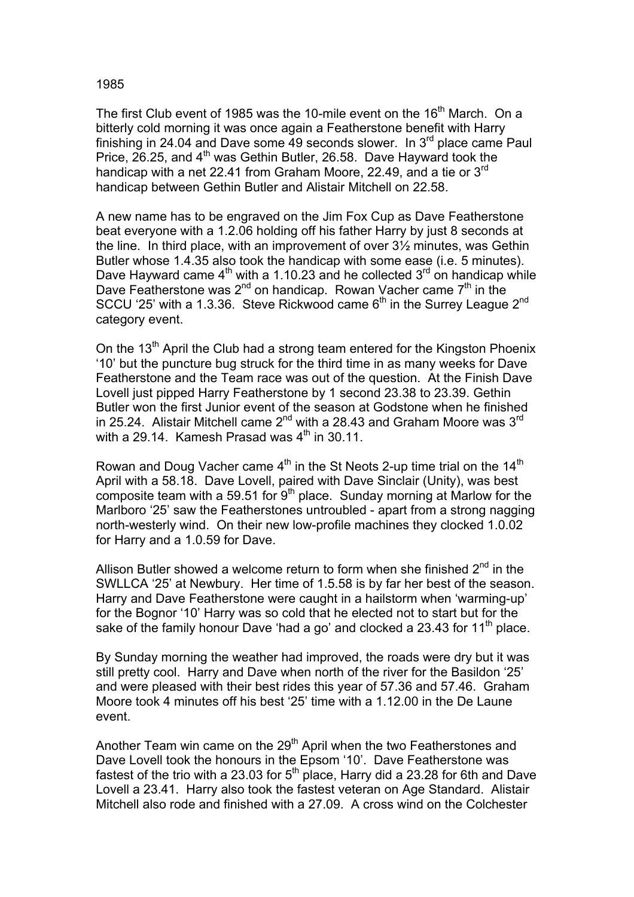## 1985

The first Club event of 1985 was the 10-mile event on the 16<sup>th</sup> March. On a bitterly cold morning it was once again a Featherstone benefit with Harry finishing in 24.04 and Dave some 49 seconds slower. In 3<sup>rd</sup> place came Paul Price, 26.25, and 4<sup>th</sup> was Gethin Butler, 26.58. Dave Hayward took the handicap with a net 22.41 from Graham Moore, 22.49, and a tie or 3<sup>rd</sup> handicap between Gethin Butler and Alistair Mitchell on 22.58.

A new name has to be engraved on the Jim Fox Cup as Dave Featherstone beat everyone with a 1.2.06 holding off his father Harry by just 8 seconds at the line. In third place, with an improvement of over 3½ minutes, was Gethin Butler whose 1.4.35 also took the handicap with some ease (i.e. 5 minutes). Dave Hayward came  $4<sup>th</sup>$  with a 1.10.23 and he collected  $3<sup>rd</sup>$  on handicap while Dave Featherstone was  $2^{nd}$  on handicap. Rowan Vacher came  $7<sup>th</sup>$  in the SCCU '25' with a 1.3.36. Steve Rickwood came  $6<sup>th</sup>$  in the Surrey League  $2<sup>nd</sup>$ category event.

On the  $13<sup>th</sup>$  April the Club had a strong team entered for the Kingston Phoenix '10' but the puncture bug struck for the third time in as many weeks for Dave Featherstone and the Team race was out of the question. At the Finish Dave Lovell just pipped Harry Featherstone by 1 second 23.38 to 23.39. Gethin Butler won the first Junior event of the season at Godstone when he finished in 25.24. Alistair Mitchell came  $2^{nd}$  with a 28.43 and Graham Moore was  $3^{rd}$ with a 29.14. Kamesh Prasad was  $4<sup>th</sup>$  in 30.11.

Rowan and Doug Vacher came  $4<sup>th</sup>$  in the St Neots 2-up time trial on the 14<sup>th</sup> April with a 58.18. Dave Lovell, paired with Dave Sinclair (Unity), was best composite team with a 59.51 for  $9<sup>th</sup>$  place. Sunday morning at Marlow for the Marlboro '25' saw the Featherstones untroubled - apart from a strong nagging north-westerly wind. On their new low-profile machines they clocked 1.0.02 for Harry and a 1.0.59 for Dave.

Allison Butler showed a welcome return to form when she finished  $2<sup>nd</sup>$  in the SWLLCA '25' at Newbury. Her time of 1.5.58 is by far her best of the season. Harry and Dave Featherstone were caught in a hailstorm when 'warming-up' for the Bognor '10' Harry was so cold that he elected not to start but for the sake of the family honour Dave 'had a go' and clocked a 23.43 for  $11<sup>th</sup>$  place.

By Sunday morning the weather had improved, the roads were dry but it was still pretty cool. Harry and Dave when north of the river for the Basildon '25' and were pleased with their best rides this year of 57.36 and 57.46. Graham Moore took 4 minutes off his best '25' time with a 1.12.00 in the De Laune event.

Another Team win came on the 29<sup>th</sup> April when the two Featherstones and Dave Lovell took the honours in the Epsom '10'. Dave Featherstone was fastest of the trio with a 23.03 for  $5<sup>th</sup>$  place, Harry did a 23.28 for 6th and Dave Lovell a 23.41. Harry also took the fastest veteran on Age Standard. Alistair Mitchell also rode and finished with a 27.09. A cross wind on the Colchester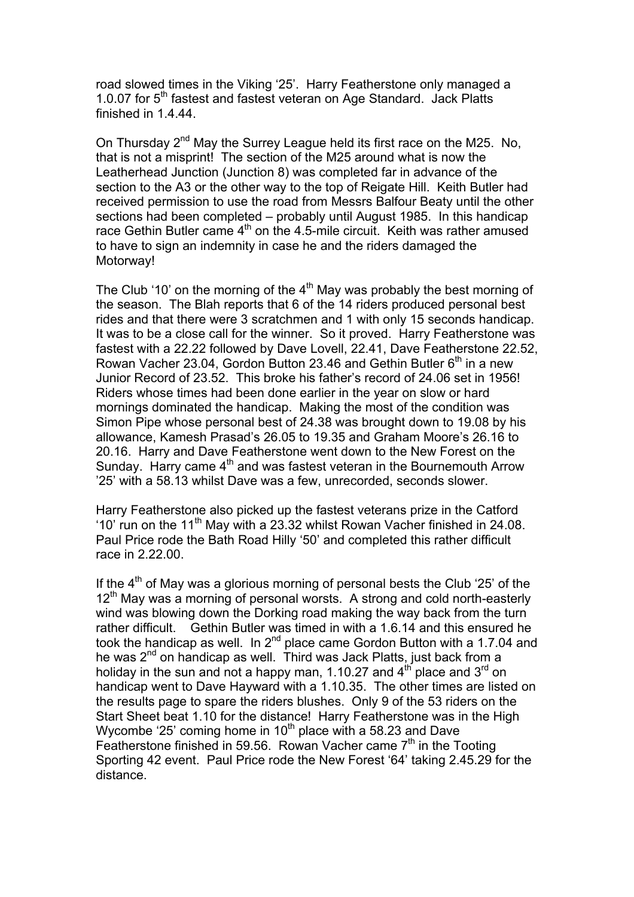road slowed times in the Viking '25'. Harry Featherstone only managed a 1.0.07 for 5<sup>th</sup> fastest and fastest veteran on Age Standard. Jack Platts finished in 1.4.44.

On Thursday 2<sup>nd</sup> May the Surrey League held its first race on the M25. No, that is not a misprint! The section of the M25 around what is now the Leatherhead Junction (Junction 8) was completed far in advance of the section to the A3 or the other way to the top of Reigate Hill. Keith Butler had received permission to use the road from Messrs Balfour Beaty until the other sections had been completed – probably until August 1985. In this handicap race Gethin Butler came  $4<sup>th</sup>$  on the 4.5-mile circuit. Keith was rather amused to have to sign an indemnity in case he and the riders damaged the Motorway!

The Club '10' on the morning of the  $4<sup>th</sup>$  May was probably the best morning of the season. The Blah reports that 6 of the 14 riders produced personal best rides and that there were 3 scratchmen and 1 with only 15 seconds handicap. It was to be a close call for the winner. So it proved. Harry Featherstone was fastest with a 22.22 followed by Dave Lovell, 22.41, Dave Featherstone 22.52, Rowan Vacher 23.04, Gordon Button 23.46 and Gethin Butler  $6<sup>th</sup>$  in a new Junior Record of 23.52. This broke his father's record of 24.06 set in 1956! Riders whose times had been done earlier in the year on slow or hard mornings dominated the handicap. Making the most of the condition was Simon Pipe whose personal best of 24.38 was brought down to 19.08 by his allowance, Kamesh Prasad's 26.05 to 19.35 and Graham Moore's 26.16 to 20.16. Harry and Dave Featherstone went down to the New Forest on the Sunday. Harry came 4<sup>th</sup> and was fastest veteran in the Bournemouth Arrow '25' with a 58.13 whilst Dave was a few, unrecorded, seconds slower.

Harry Featherstone also picked up the fastest veterans prize in the Catford '10' run on the 11<sup>th</sup> May with a 23.32 whilst Rowan Vacher finished in 24.08. Paul Price rode the Bath Road Hilly '50' and completed this rather difficult race in 2.22.00.

If the  $4<sup>th</sup>$  of May was a glorious morning of personal bests the Club '25' of the  $12<sup>th</sup>$  May was a morning of personal worsts. A strong and cold north-easterly wind was blowing down the Dorking road making the way back from the turn rather difficult. Gethin Butler was timed in with a 1.6.14 and this ensured he took the handicap as well. In  $2^{nd}$  place came Gordon Button with a 1.7.04 and he was 2<sup>nd</sup> on handicap as well. Third was Jack Platts, just back from a holiday in the sun and not a happy man, 1.10.27 and  $4<sup>th</sup>$  place and 3<sup>rd</sup> on handicap went to Dave Hayward with a 1.10.35. The other times are listed on the results page to spare the riders blushes. Only 9 of the 53 riders on the Start Sheet beat 1.10 for the distance! Harry Featherstone was in the High Wycombe '25' coming home in  $10<sup>th</sup>$  place with a 58.23 and Dave Featherstone finished in 59.56. Rowan Vacher came  $7<sup>th</sup>$  in the Tooting Sporting 42 event. Paul Price rode the New Forest '64' taking 2.45.29 for the distance.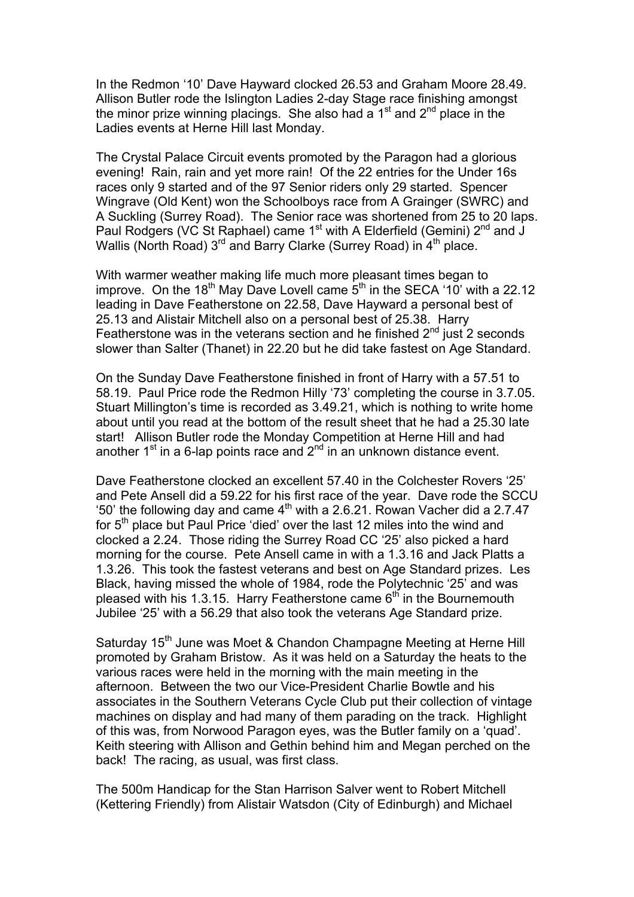In the Redmon '10' Dave Hayward clocked 26.53 and Graham Moore 28.49. Allison Butler rode the Islington Ladies 2-day Stage race finishing amongst the minor prize winning placings. She also had a  $1<sup>st</sup>$  and  $2<sup>nd</sup>$  place in the Ladies events at Herne Hill last Monday.

The Crystal Palace Circuit events promoted by the Paragon had a glorious evening! Rain, rain and yet more rain! Of the 22 entries for the Under 16s races only 9 started and of the 97 Senior riders only 29 started. Spencer Wingrave (Old Kent) won the Schoolboys race from A Grainger (SWRC) and A Suckling (Surrey Road). The Senior race was shortened from 25 to 20 laps. Paul Rodgers (VC St Raphael) came 1<sup>st</sup> with A Elderfield (Gemini) 2<sup>nd</sup> and J Wallis (North Road)  $3^{rd}$  and Barry Clarke (Surrey Road) in  $4^{th}$  place.

With warmer weather making life much more pleasant times began to improve. On the 18<sup>th</sup> May Dave Lovell came  $5<sup>th</sup>$  in the SECA '10' with a 22.12 leading in Dave Featherstone on 22.58, Dave Hayward a personal best of 25.13 and Alistair Mitchell also on a personal best of 25.38. Harry Featherstone was in the veterans section and he finished  $2<sup>nd</sup>$  just 2 seconds slower than Salter (Thanet) in 22.20 but he did take fastest on Age Standard.

On the Sunday Dave Featherstone finished in front of Harry with a 57.51 to 58.19. Paul Price rode the Redmon Hilly '73' completing the course in 3.7.05. Stuart Millington's time is recorded as 3.49.21, which is nothing to write home about until you read at the bottom of the result sheet that he had a 25.30 late start! Allison Butler rode the Monday Competition at Herne Hill and had another  $1<sup>st</sup>$  in a 6-lap points race and  $2<sup>nd</sup>$  in an unknown distance event.

Dave Featherstone clocked an excellent 57.40 in the Colchester Rovers '25' and Pete Ansell did a 59.22 for his first race of the year. Dave rode the SCCU  $\frac{20}{100}$  the following day and came  $4^{\text{th}}$  with a 2.6.21. Rowan Vacher did a 2.7.47 for 5<sup>th</sup> place but Paul Price 'died' over the last 12 miles into the wind and clocked a 2.24. Those riding the Surrey Road CC '25' also picked a hard morning for the course. Pete Ansell came in with a 1.3.16 and Jack Platts a 1.3.26. This took the fastest veterans and best on Age Standard prizes. Les Black, having missed the whole of 1984, rode the Polytechnic '25' and was pleased with his 1.3.15. Harry Featherstone came  $6<sup>th</sup>$  in the Bournemouth Jubilee '25' with a 56.29 that also took the veterans Age Standard prize.

Saturday 15<sup>th</sup> June was Moet & Chandon Champagne Meeting at Herne Hill promoted by Graham Bristow. As it was held on a Saturday the heats to the various races were held in the morning with the main meeting in the afternoon. Between the two our Vice-President Charlie Bowtle and his associates in the Southern Veterans Cycle Club put their collection of vintage machines on display and had many of them parading on the track. Highlight of this was, from Norwood Paragon eyes, was the Butler family on a 'quad'. Keith steering with Allison and Gethin behind him and Megan perched on the back! The racing, as usual, was first class.

The 500m Handicap for the Stan Harrison Salver went to Robert Mitchell (Kettering Friendly) from Alistair Watsdon (City of Edinburgh) and Michael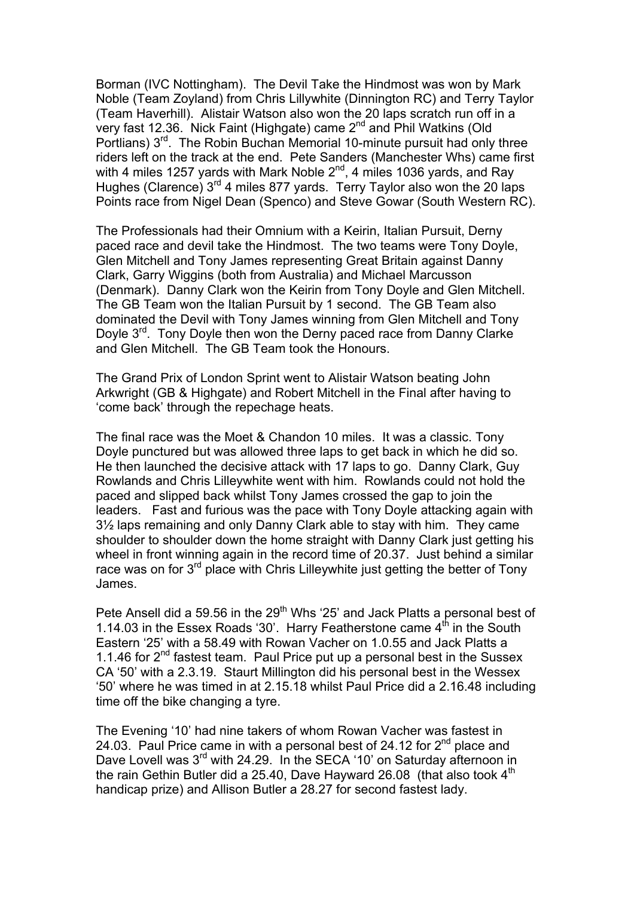Borman (IVC Nottingham). The Devil Take the Hindmost was won by Mark Noble (Team Zoyland) from Chris Lillywhite (Dinnington RC) and Terry Taylor (Team Haverhill). Alistair Watson also won the 20 laps scratch run off in a very fast 12.36. Nick Faint (Highgate) came  $2^{nd}$  and Phil Watkins (Old Portlians) 3<sup>rd</sup>. The Robin Buchan Memorial 10-minute pursuit had only three riders left on the track at the end. Pete Sanders (Manchester Whs) came first with 4 miles 1257 yards with Mark Noble  $2^{nd}$ , 4 miles 1036 yards, and Ray Hughes (Clarence)  $3^{rd}$  4 miles 877 yards. Terry Taylor also won the 20 laps Points race from Nigel Dean (Spenco) and Steve Gowar (South Western RC).

The Professionals had their Omnium with a Keirin, Italian Pursuit, Derny paced race and devil take the Hindmost. The two teams were Tony Doyle, Glen Mitchell and Tony James representing Great Britain against Danny Clark, Garry Wiggins (both from Australia) and Michael Marcusson (Denmark). Danny Clark won the Keirin from Tony Doyle and Glen Mitchell. The GB Team won the Italian Pursuit by 1 second. The GB Team also dominated the Devil with Tony James winning from Glen Mitchell and Tony Doyle 3<sup>rd</sup>. Tony Doyle then won the Derny paced race from Danny Clarke and Glen Mitchell. The GB Team took the Honours.

The Grand Prix of London Sprint went to Alistair Watson beating John Arkwright (GB & Highgate) and Robert Mitchell in the Final after having to 'come back' through the repechage heats.

The final race was the Moet & Chandon 10 miles. It was a classic. Tony Doyle punctured but was allowed three laps to get back in which he did so. He then launched the decisive attack with 17 laps to go. Danny Clark, Guy Rowlands and Chris Lilleywhite went with him. Rowlands could not hold the paced and slipped back whilst Tony James crossed the gap to join the leaders. Fast and furious was the pace with Tony Doyle attacking again with 3½ laps remaining and only Danny Clark able to stay with him. They came shoulder to shoulder down the home straight with Danny Clark just getting his wheel in front winning again in the record time of 20.37. Just behind a similar race was on for 3<sup>rd</sup> place with Chris Lilleywhite just getting the better of Tony James.

Pete Ansell did a 59.56 in the  $29<sup>th</sup>$  Whs '25' and Jack Platts a personal best of 1.14.03 in the Essex Roads '30'. Harry Featherstone came  $4^{th}$  in the South Eastern '25' with a 58.49 with Rowan Vacher on 1.0.55 and Jack Platts a 1.1.46 for  $2^{nd}$  fastest team. Paul Price put up a personal best in the Sussex CA '50' with a 2.3.19. Staurt Millington did his personal best in the Wessex '50' where he was timed in at 2.15.18 whilst Paul Price did a 2.16.48 including time off the bike changing a tyre.

The Evening '10' had nine takers of whom Rowan Vacher was fastest in 24.03. Paul Price came in with a personal best of 24.12 for  $2<sup>nd</sup>$  place and Dave Lovell was 3<sup>rd</sup> with 24.29. In the SECA '10' on Saturday afternoon in the rain Gethin Butler did a 25.40, Dave Hayward 26.08 (that also took  $4<sup>th</sup>$ handicap prize) and Allison Butler a 28.27 for second fastest lady.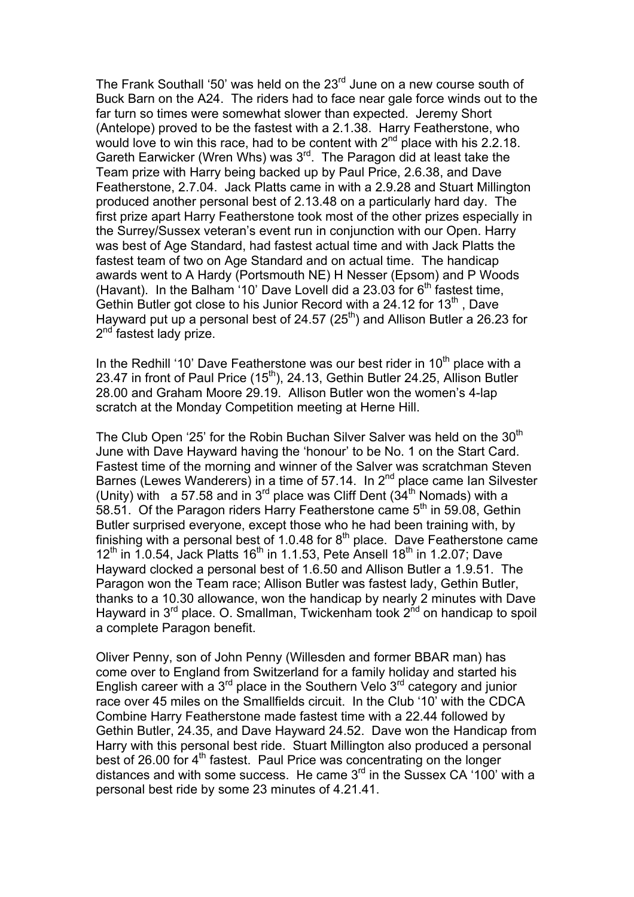The Frank Southall '50' was held on the 23<sup>rd</sup> June on a new course south of Buck Barn on the A24. The riders had to face near gale force winds out to the far turn so times were somewhat slower than expected. Jeremy Short (Antelope) proved to be the fastest with a 2.1.38. Harry Featherstone, who would love to win this race, had to be content with  $2<sup>nd</sup>$  place with his 2.2.18. Gareth Earwicker (Wren Whs) was 3<sup>rd</sup>. The Paragon did at least take the Team prize with Harry being backed up by Paul Price, 2.6.38, and Dave Featherstone, 2.7.04. Jack Platts came in with a 2.9.28 and Stuart Millington produced another personal best of 2.13.48 on a particularly hard day. The first prize apart Harry Featherstone took most of the other prizes especially in the Surrey/Sussex veteran's event run in conjunction with our Open. Harry was best of Age Standard, had fastest actual time and with Jack Platts the fastest team of two on Age Standard and on actual time. The handicap awards went to A Hardy (Portsmouth NE) H Nesser (Epsom) and P Woods (Havant). In the Balham '10' Dave Lovell did a 23.03 for  $6<sup>th</sup>$  fastest time, Gethin Butler got close to his Junior Record with a 24.12 for 13<sup>th</sup>, Dave Hayward put up a personal best of 24.57 ( $25<sup>th</sup>$ ) and Allison Butler a 26.23 for 2<sup>nd</sup> fastest lady prize.

In the Redhill '10' Dave Featherstone was our best rider in  $10<sup>th</sup>$  place with a 23.47 in front of Paul Price  $(15<sup>th</sup>)$ , 24.13, Gethin Butler 24.25, Allison Butler 28.00 and Graham Moore 29.19. Allison Butler won the women's 4-lap scratch at the Monday Competition meeting at Herne Hill.

The Club Open '25' for the Robin Buchan Silver Salver was held on the 30<sup>th</sup> June with Dave Hayward having the 'honour' to be No. 1 on the Start Card. Fastest time of the morning and winner of the Salver was scratchman Steven Barnes (Lewes Wanderers) in a time of 57.14. In 2<sup>nd</sup> place came Ian Silvester (Unity) with a 57.58 and in  $3^{rd}$  place was Cliff Dent  $(34^{th}$  Nomads) with a 58.51. Of the Paragon riders Harry Featherstone came 5<sup>th</sup> in 59.08, Gethin Butler surprised everyone, except those who he had been training with, by finishing with a personal best of 1.0.48 for  $8<sup>th</sup>$  place. Dave Featherstone came  $12^{th}$  in 1.0.54, Jack Platts  $16^{th}$  in 1.1.53, Pete Ansell 18<sup>th</sup> in 1.2.07; Dave Hayward clocked a personal best of 1.6.50 and Allison Butler a 1.9.51. The Paragon won the Team race; Allison Butler was fastest lady, Gethin Butler, thanks to a 10.30 allowance, won the handicap by nearly 2 minutes with Dave Hayward in  $3<sup>rd</sup>$  place. O. Smallman, Twickenham took  $2<sup>nd</sup>$  on handicap to spoil a complete Paragon benefit.

Oliver Penny, son of John Penny (Willesden and former BBAR man) has come over to England from Switzerland for a family holiday and started his English career with a  $3<sup>rd</sup>$  place in the Southern Velo  $3<sup>rd</sup>$  category and junior race over 45 miles on the Smallfields circuit. In the Club '10' with the CDCA Combine Harry Featherstone made fastest time with a 22.44 followed by Gethin Butler, 24.35, and Dave Hayward 24.52. Dave won the Handicap from Harry with this personal best ride. Stuart Millington also produced a personal best of 26.00 for  $4<sup>th</sup>$  fastest. Paul Price was concentrating on the longer distances and with some success. He came  $3<sup>rd</sup>$  in the Sussex CA '100' with a personal best ride by some 23 minutes of 4.21.41.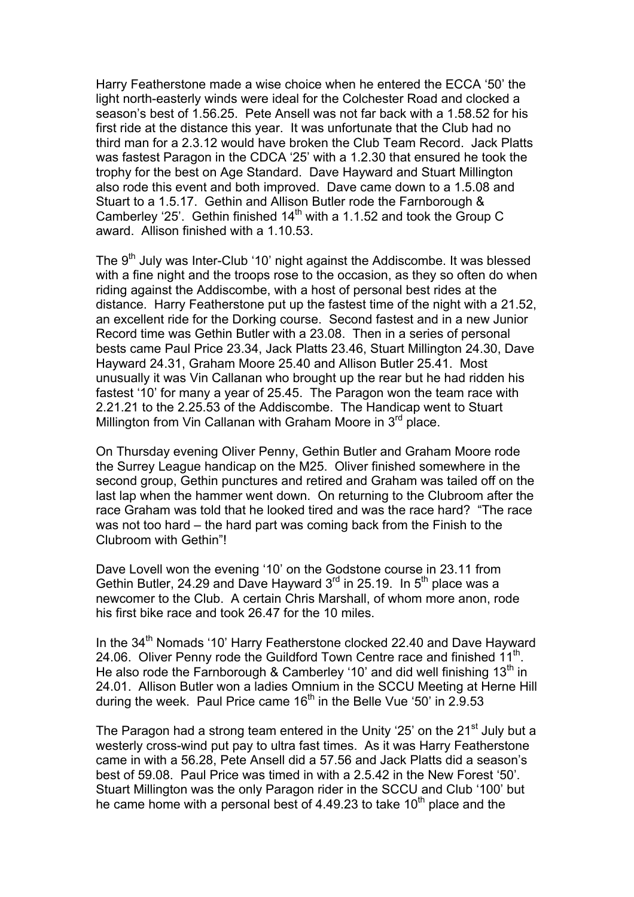Harry Featherstone made a wise choice when he entered the ECCA '50' the light north-easterly winds were ideal for the Colchester Road and clocked a season's best of 1.56.25. Pete Ansell was not far back with a 1.58.52 for his first ride at the distance this year. It was unfortunate that the Club had no third man for a 2.3.12 would have broken the Club Team Record. Jack Platts was fastest Paragon in the CDCA '25' with a 1.2.30 that ensured he took the trophy for the best on Age Standard. Dave Hayward and Stuart Millington also rode this event and both improved. Dave came down to a 1.5.08 and Stuart to a 1.5.17. Gethin and Allison Butler rode the Farnborough & Camberley '25'. Gethin finished  $14<sup>th</sup>$  with a 1.1.52 and took the Group C award. Allison finished with a 1.10.53.

The 9<sup>th</sup> July was Inter-Club '10' night against the Addiscombe. It was blessed with a fine night and the troops rose to the occasion, as they so often do when riding against the Addiscombe, with a host of personal best rides at the distance. Harry Featherstone put up the fastest time of the night with a 21.52, an excellent ride for the Dorking course. Second fastest and in a new Junior Record time was Gethin Butler with a 23.08. Then in a series of personal bests came Paul Price 23.34, Jack Platts 23.46, Stuart Millington 24.30, Dave Hayward 24.31, Graham Moore 25.40 and Allison Butler 25.41. Most unusually it was Vin Callanan who brought up the rear but he had ridden his fastest '10' for many a year of 25.45. The Paragon won the team race with 2.21.21 to the 2.25.53 of the Addiscombe. The Handicap went to Stuart Millington from Vin Callanan with Graham Moore in  $3<sup>rd</sup>$  place.

On Thursday evening Oliver Penny, Gethin Butler and Graham Moore rode the Surrey League handicap on the M25. Oliver finished somewhere in the second group, Gethin punctures and retired and Graham was tailed off on the last lap when the hammer went down. On returning to the Clubroom after the race Graham was told that he looked tired and was the race hard? "The race was not too hard – the hard part was coming back from the Finish to the Clubroom with Gethin"!

Dave Lovell won the evening '10' on the Godstone course in 23.11 from Gethin Butler, 24.29 and Dave Hayward 3<sup>rd</sup> in 25.19. In 5<sup>th</sup> place was a newcomer to the Club. A certain Chris Marshall, of whom more anon, rode his first bike race and took 26.47 for the 10 miles.

In the 34<sup>th</sup> Nomads '10' Harry Featherstone clocked 22.40 and Dave Hayward 24.06. Oliver Penny rode the Guildford Town Centre race and finished 11<sup>th</sup>. He also rode the Farnborough & Camberley '10' and did well finishing  $13<sup>th</sup>$  in 24.01. Allison Butler won a ladies Omnium in the SCCU Meeting at Herne Hill during the week. Paul Price came  $16<sup>th</sup>$  in the Belle Vue '50' in 2.9.53

The Paragon had a strong team entered in the Unity '25' on the  $21<sup>st</sup>$  July but a westerly cross-wind put pay to ultra fast times. As it was Harry Featherstone came in with a 56.28, Pete Ansell did a 57.56 and Jack Platts did a season's best of 59.08. Paul Price was timed in with a 2.5.42 in the New Forest '50'. Stuart Millington was the only Paragon rider in the SCCU and Club '100' but he came home with a personal best of 4.49.23 to take  $10<sup>th</sup>$  place and the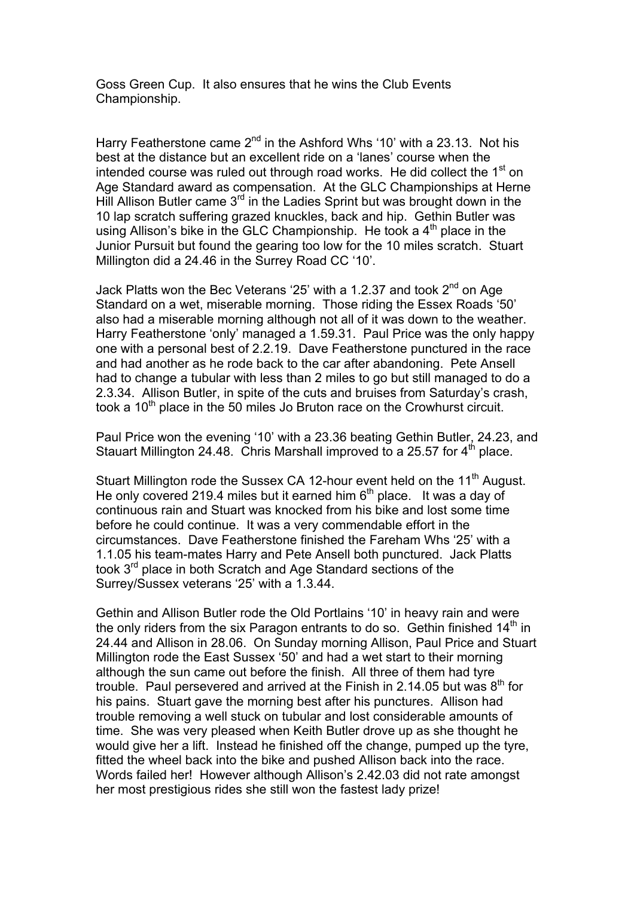Goss Green Cup. It also ensures that he wins the Club Events Championship.

Harry Featherstone came  $2^{nd}$  in the Ashford Whs '10' with a 23.13. Not his best at the distance but an excellent ride on a 'lanes' course when the intended course was ruled out through road works. He did collect the  $1<sup>st</sup>$  on Age Standard award as compensation. At the GLC Championships at Herne Hill Allison Butler came  $3<sup>rd</sup>$  in the Ladies Sprint but was brought down in the 10 lap scratch suffering grazed knuckles, back and hip. Gethin Butler was using Allison's bike in the GLC Championship. He took a  $4<sup>th</sup>$  place in the Junior Pursuit but found the gearing too low for the 10 miles scratch. Stuart Millington did a 24.46 in the Surrey Road CC '10'.

Jack Platts won the Bec Veterans '25' with a 1.2.37 and took  $2^{nd}$  on Age Standard on a wet, miserable morning. Those riding the Essex Roads '50' also had a miserable morning although not all of it was down to the weather. Harry Featherstone 'only' managed a 1.59.31. Paul Price was the only happy one with a personal best of 2.2.19. Dave Featherstone punctured in the race and had another as he rode back to the car after abandoning. Pete Ansell had to change a tubular with less than 2 miles to go but still managed to do a 2.3.34. Allison Butler, in spite of the cuts and bruises from Saturday's crash, took a 10<sup>th</sup> place in the 50 miles Jo Bruton race on the Crowhurst circuit.

Paul Price won the evening '10' with a 23.36 beating Gethin Butler, 24.23, and Stauart Millington 24.48. Chris Marshall improved to a 25.57 for  $4<sup>th</sup>$  place.

Stuart Millington rode the Sussex CA 12-hour event held on the 11<sup>th</sup> August. He only covered 219.4 miles but it earned him  $6<sup>th</sup>$  place. It was a day of continuous rain and Stuart was knocked from his bike and lost some time before he could continue. It was a very commendable effort in the circumstances. Dave Featherstone finished the Fareham Whs '25' with a 1.1.05 his team-mates Harry and Pete Ansell both punctured. Jack Platts took 3<sup>rd</sup> place in both Scratch and Age Standard sections of the Surrey/Sussex veterans '25' with a 1.3.44.

Gethin and Allison Butler rode the Old Portlains '10' in heavy rain and were the only riders from the six Paragon entrants to do so. Gethin finished  $14<sup>th</sup>$  in 24.44 and Allison in 28.06. On Sunday morning Allison, Paul Price and Stuart Millington rode the East Sussex '50' and had a wet start to their morning although the sun came out before the finish. All three of them had tyre trouble. Paul persevered and arrived at the Finish in 2.14.05 but was  $8<sup>th</sup>$  for his pains. Stuart gave the morning best after his punctures. Allison had trouble removing a well stuck on tubular and lost considerable amounts of time. She was very pleased when Keith Butler drove up as she thought he would give her a lift. Instead he finished off the change, pumped up the tyre, fitted the wheel back into the bike and pushed Allison back into the race. Words failed her! However although Allison's 2.42.03 did not rate amongst her most prestigious rides she still won the fastest lady prize!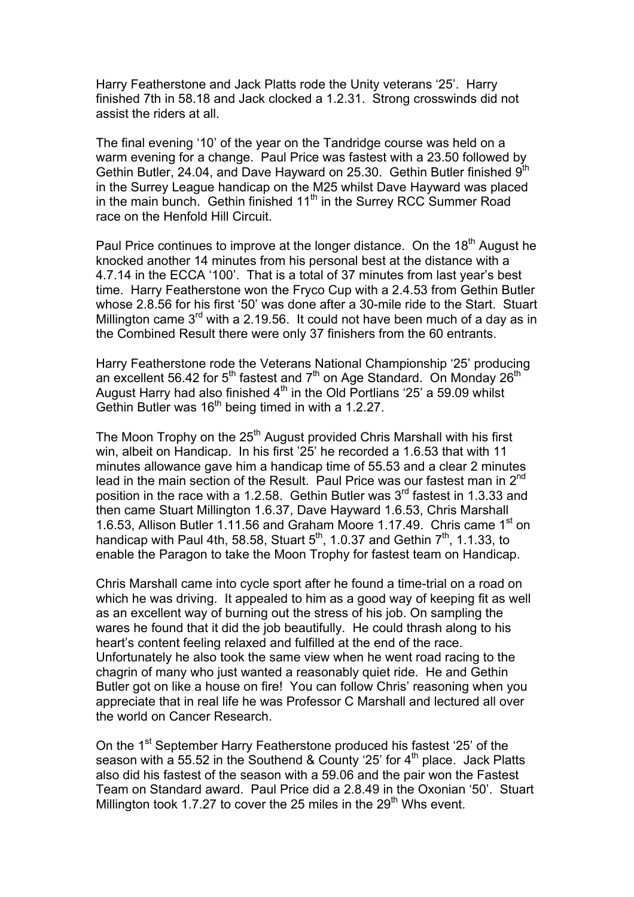Harry Featherstone and Jack Platts rode the Unity veterans '25'. Harry finished 7th in 58.18 and Jack clocked a 1.2.31. Strong crosswinds did not assist the riders at all.

The final evening '10' of the year on the Tandridge course was held on a warm evening for a change. Paul Price was fastest with a 23.50 followed by Gethin Butler, 24.04, and Dave Hayward on 25.30. Gethin Butler finished 9th in the Surrey League handicap on the M25 whilst Dave Hayward was placed in the main bunch. Gethin finished 11<sup>th</sup> in the Surrey RCC Summer Road race on the Henfold Hill Circuit.

Paul Price continues to improve at the longer distance. On the 18<sup>th</sup> August he knocked another 14 minutes from his personal best at the distance with a 4.7.14 in the ECCA '100'. That is a total of 37 minutes from last year's best time. Harry Featherstone won the Fryco Cup with a 2.4.53 from Gethin Butler whose 2.8.56 for his first '50' was done after a 30-mile ride to the Start. Stuart Millington came  $3<sup>rd</sup>$  with a 2.19.56. It could not have been much of a day as in the Combined Result there were only 37 finishers from the 60 entrants.

Harry Featherstone rode the Veterans National Championship '25' producing an excellent 56.42 for 5<sup>th</sup> fastest and  $7<sup>th</sup>$  on Age Standard. On Monday 26<sup>th</sup> August Harry had also finished  $4<sup>th</sup>$  in the Old Portlians '25' a 59.09 whilst Gethin Butler was 16<sup>th</sup> being timed in with a 1.2.27.

The Moon Trophy on the  $25<sup>th</sup>$  August provided Chris Marshall with his first win, albeit on Handicap. In his first '25' he recorded a 1.6.53 that with 11 minutes allowance gave him a handicap time of 55.53 and a clear 2 minutes lead in the main section of the Result. Paul Price was our fastest man in 2<sup>nd</sup> position in the race with a 1.2.58. Gethin Butler was  $3<sup>rd</sup>$  fastest in 1.3.33 and then came Stuart Millington 1.6.37, Dave Hayward 1.6.53, Chris Marshall 1.6.53, Allison Butler 1.11.56 and Graham Moore 1.17.49. Chris came 1<sup>st</sup> on handicap with Paul 4th, 58.58, Stuart  $5<sup>th</sup>$ , 1.0.37 and Gethin  $7<sup>th</sup>$ , 1.1.33, to enable the Paragon to take the Moon Trophy for fastest team on Handicap.

Chris Marshall came into cycle sport after he found a time-trial on a road on which he was driving. It appealed to him as a good way of keeping fit as well as an excellent way of burning out the stress of his job. On sampling the wares he found that it did the job beautifully. He could thrash along to his heart's content feeling relaxed and fulfilled at the end of the race. Unfortunately he also took the same view when he went road racing to the chagrin of many who just wanted a reasonably quiet ride. He and Gethin Butler got on like a house on fire! You can follow Chris' reasoning when you appreciate that in real life he was Professor C Marshall and lectured all over the world on Cancer Research.

On the 1<sup>st</sup> September Harry Featherstone produced his fastest '25' of the season with a 55.52 in the Southend & County '25' for  $4^{\text{th}}$  place. Jack Platts also did his fastest of the season with a 59.06 and the pair won the Fastest Team on Standard award. Paul Price did a 2.8.49 in the Oxonian '50'. Stuart Millington took 1.7.27 to cover the 25 miles in the  $29<sup>th</sup>$  Whs event.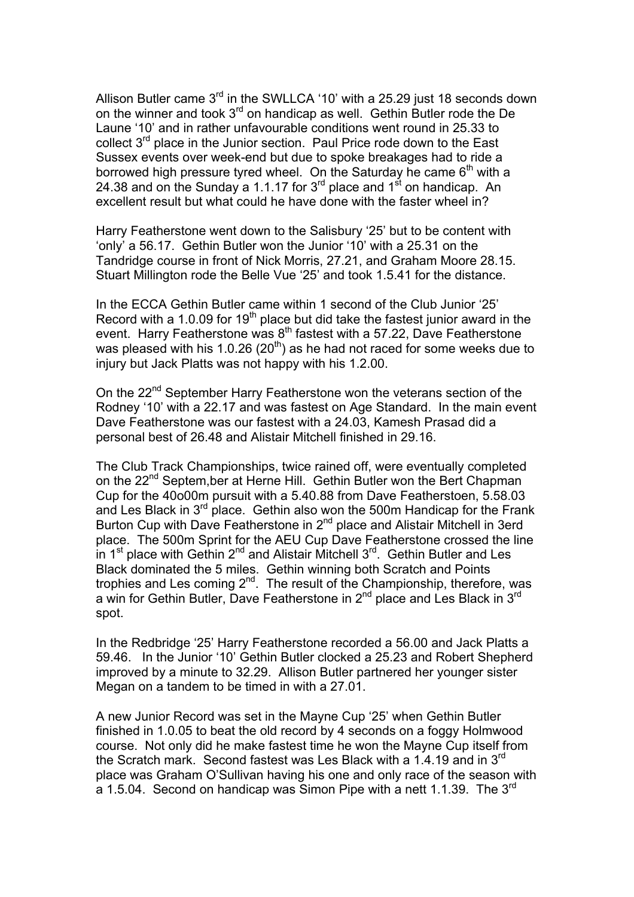Allison Butler came  $3<sup>rd</sup>$  in the SWLLCA '10' with a 25.29 just 18 seconds down on the winner and took  $3^{rd}$  on handicap as well. Gethin Butler rode the De Laune '10' and in rather unfavourable conditions went round in 25.33 to collect  $3^{rd}$  place in the Junior section. Paul Price rode down to the East Sussex events over week-end but due to spoke breakages had to ride a borrowed high pressure tyred wheel. On the Saturday he came  $6<sup>th</sup>$  with a 24.38 and on the Sunday a 1.1.17 for  $3^{rd}$  place and  $1^{st}$  on handicap. An excellent result but what could he have done with the faster wheel in?

Harry Featherstone went down to the Salisbury '25' but to be content with 'only' a 56.17. Gethin Butler won the Junior '10' with a 25.31 on the Tandridge course in front of Nick Morris, 27.21, and Graham Moore 28.15. Stuart Millington rode the Belle Vue '25' and took 1.5.41 for the distance.

In the ECCA Gethin Butler came within 1 second of the Club Junior '25' Record with a 1.0.09 for 19<sup>th</sup> place but did take the fastest junior award in the event. Harry Featherstone was 8<sup>th</sup> fastest with a 57.22, Dave Featherstone was pleased with his 1.0.26 (20<sup>th</sup>) as he had not raced for some weeks due to injury but Jack Platts was not happy with his 1.2.00.

On the 22<sup>nd</sup> September Harry Featherstone won the veterans section of the Rodney '10' with a 22.17 and was fastest on Age Standard. In the main event Dave Featherstone was our fastest with a 24.03, Kamesh Prasad did a personal best of 26.48 and Alistair Mitchell finished in 29.16.

The Club Track Championships, twice rained off, were eventually completed on the 22<sup>nd</sup> Septem, ber at Herne Hill. Gethin Butler won the Bert Chapman Cup for the 40o00m pursuit with a 5.40.88 from Dave Featherstoen, 5.58.03 and Les Black in  $3^{rd}$  place. Gethin also won the 500m Handicap for the Frank Burton Cup with Dave Featherstone in 2<sup>nd</sup> place and Alistair Mitchell in 3erd place. The 500m Sprint for the AEU Cup Dave Featherstone crossed the line in 1<sup>st</sup> place with Gethin  $2^{nd}$  and Alistair Mitchell  $3^{rd}$ . Gethin Butler and Les Black dominated the 5 miles. Gethin winning both Scratch and Points trophies and Les coming 2<sup>nd</sup>. The result of the Championship, therefore, was a win for Gethin Butler, Dave Featherstone in  $2^{nd}$  place and Les Black in  $3^{rd}$ spot.

In the Redbridge '25' Harry Featherstone recorded a 56.00 and Jack Platts a 59.46. In the Junior '10' Gethin Butler clocked a 25.23 and Robert Shepherd improved by a minute to 32.29. Allison Butler partnered her younger sister Megan on a tandem to be timed in with a 27.01.

A new Junior Record was set in the Mayne Cup '25' when Gethin Butler finished in 1.0.05 to beat the old record by 4 seconds on a foggy Holmwood course. Not only did he make fastest time he won the Mayne Cup itself from the Scratch mark. Second fastest was Les Black with a 1.4.19 and in 3<sup>rd</sup> place was Graham O'Sullivan having his one and only race of the season with a 1.5.04. Second on handicap was Simon Pipe with a nett 1.1.39. The 3<sup>rd</sup>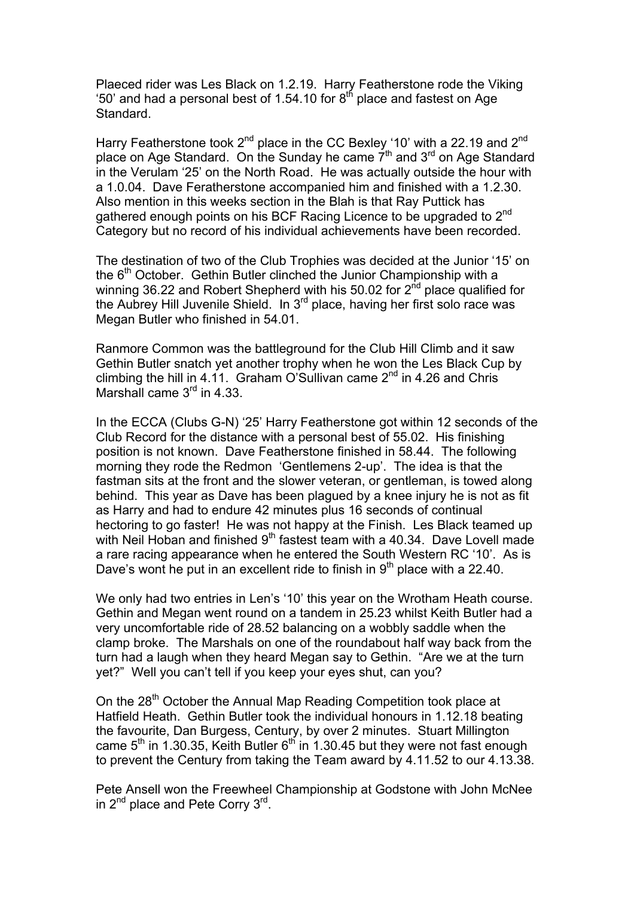Plaeced rider was Les Black on 1.2.19. Harry Featherstone rode the Viking '50' and had a personal best of 1.54.10 for  $8<sup>th</sup>$  place and fastest on Age Standard.

Harry Featherstone took  $2^{nd}$  place in the CC Bexley '10' with a 22.19 and  $2^{nd}$ place on Age Standard. On the Sunday he came 7<sup>th</sup> and 3<sup>rd</sup> on Age Standard in the Verulam '25' on the North Road. He was actually outside the hour with a 1.0.04. Dave Feratherstone accompanied him and finished with a 1.2.30. Also mention in this weeks section in the Blah is that Ray Puttick has gathered enough points on his BCF Racing Licence to be upgraded to 2<sup>nd</sup> Category but no record of his individual achievements have been recorded.

The destination of two of the Club Trophies was decided at the Junior '15' on the  $6<sup>th</sup>$  October. Gethin Butler clinched the Junior Championship with a winning 36.22 and Robert Shepherd with his 50.02 for 2<sup>nd</sup> place qualified for the Aubrey Hill Juvenile Shield. In 3rd place, having her first solo race was Megan Butler who finished in 54.01.

Ranmore Common was the battleground for the Club Hill Climb and it saw Gethin Butler snatch yet another trophy when he won the Les Black Cup by climbing the hill in 4.11. Graham O'Sullivan came  $2<sup>nd</sup>$  in 4.26 and Chris Marshall came  $3<sup>rd</sup>$  in 4.33.

In the ECCA (Clubs G-N) '25' Harry Featherstone got within 12 seconds of the Club Record for the distance with a personal best of 55.02. His finishing position is not known. Dave Featherstone finished in 58.44. The following morning they rode the Redmon 'Gentlemens 2-up'. The idea is that the fastman sits at the front and the slower veteran, or gentleman, is towed along behind. This year as Dave has been plagued by a knee injury he is not as fit as Harry and had to endure 42 minutes plus 16 seconds of continual hectoring to go faster! He was not happy at the Finish. Les Black teamed up with Neil Hoban and finished  $9<sup>th</sup>$  fastest team with a 40.34. Dave Lovell made a rare racing appearance when he entered the South Western RC '10'. As is Dave's wont he put in an excellent ride to finish in  $9<sup>th</sup>$  place with a 22.40.

We only had two entries in Len's '10' this year on the Wrotham Heath course. Gethin and Megan went round on a tandem in 25.23 whilst Keith Butler had a very uncomfortable ride of 28.52 balancing on a wobbly saddle when the clamp broke. The Marshals on one of the roundabout half way back from the turn had a laugh when they heard Megan say to Gethin. "Are we at the turn yet?" Well you can't tell if you keep your eyes shut, can you?

On the 28<sup>th</sup> October the Annual Map Reading Competition took place at Hatfield Heath. Gethin Butler took the individual honours in 1.12.18 beating the favourite, Dan Burgess, Century, by over 2 minutes. Stuart Millington came  $5<sup>th</sup>$  in 1.30.35, Keith Butler  $6<sup>th</sup>$  in 1.30.45 but they were not fast enough to prevent the Century from taking the Team award by 4.11.52 to our 4.13.38.

Pete Ansell won the Freewheel Championship at Godstone with John McNee in 2<sup>nd</sup> place and Pete Corry 3<sup>rd</sup>.